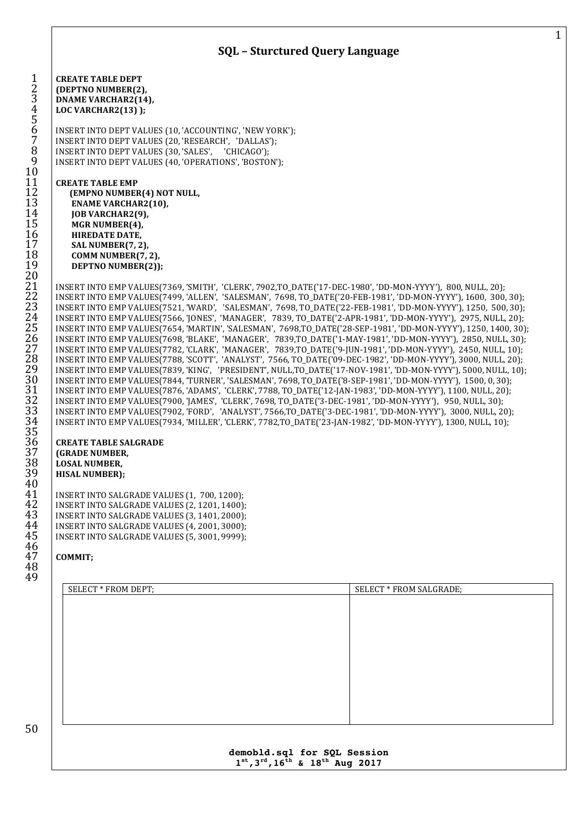

## **demobld.sql for SQL Session st,3rd,16th & 18th Aug 2017**

<br> $11$ <br> $12$ <br> $13$ 

 $\frac{20}{21}$ 

31<br>32<br>33<br>34<br>35<br>36<br>36

40<br>41

46<br>47